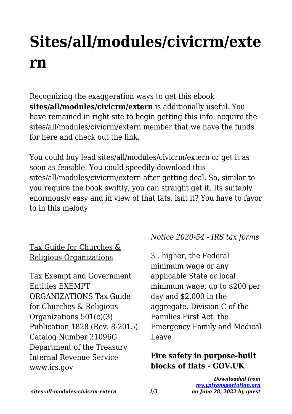# **Sites/all/modules/civicrm/exte rn**

Recognizing the exaggeration ways to get this ebook **sites/all/modules/civicrm/extern** is additionally useful. You have remained in right site to begin getting this info. acquire the sites/all/modules/civicrm/extern member that we have the funds for here and check out the link.

You could buy lead sites/all/modules/civicrm/extern or get it as soon as feasible. You could speedily download this sites/all/modules/civicrm/extern after getting deal. So, similar to you require the book swiftly, you can straight get it. Its suitably enormously easy and in view of that fats, isnt it? You have to favor to in this melody

Tax Guide for Churches & Religious Organizations

Tax Exempt and Government Entities EXEMPT ORGANIZATIONS Tax Guide for Churches & Religious Organizations 501(c)(3) Publication 1828 (Rev. 8-2015) Catalog Number 21096G Department of the Treasury Internal Revenue Service www.irs.gov

## *Notice 2020-54 - IRS tax forms*

3 . higher, the Federal minimum wage or any applicable State or local minimum wage, up to \$200 per day and \$2,000 in the aggregate. Division C of the Families First Act, the Emergency Family and Medical Leave

#### **Fire safety in purpose-built blocks of flats - GOV.UK**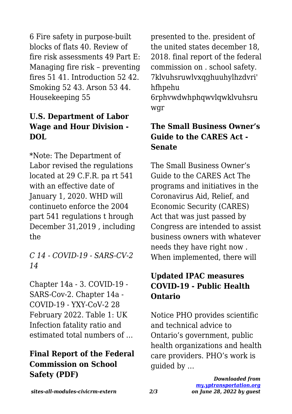6 Fire safety in purpose-built blocks of flats 40. Review of fire risk assessments 49 Part E: Managing fire risk – preventing fires 51 41. Introduction 52 42. Smoking 52 43. Arson 53 44. Housekeeping 55

# **U.S. Department of Labor Wage and Hour Division - DOL**

\*Note: The Department of Labor revised the regulations located at 29 C.F.R. pa rt 541 with an effective date of January 1, 2020. WHD will continueto enforce the 2004 part 541 regulations t hrough December 31,2019 , including the

*C 14 - COVID-19 - SARS-CV-2 14*

Chapter 14a - 3. COVID-19 - SARS-Cov-2. Chapter 14a - COVID-19 - YXY-CoV-2 28 February 2022. Table 1: UK Infection fatality ratio and estimated total numbers of …

## **Final Report of the Federal Commission on School Safety (PDF)**

presented to the. president of the united states december 18, 2018. final report of the federal commission on . school safety. 7klvuhsruwlvxqghuuhylhzdvri' hfhpehu 6rphvwdwhphqwvlqwklvuhsru wgr

#### **The Small Business Owner's Guide to the CARES Act - Senate**

The Small Business Owner's Guide to the CARES Act The programs and initiatives in the Coronavirus Aid, Relief, and Economic Security (CARES) Act that was just passed by Congress are intended to assist business owners with whatever needs they have right now . When implemented, there will

# **Updated IPAC measures COVID-19 - Public Health Ontario**

Notice PHO provides scientific and technical advice to Ontario's government, public health organizations and health care providers. PHO's work is guided by …